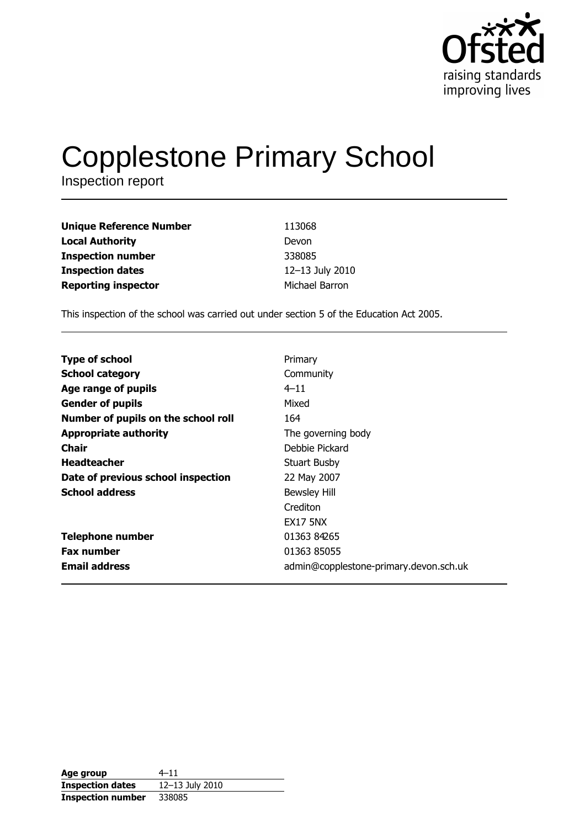

# **Copplestone Primary School**

Inspection report

| <b>Unique Reference Number</b> | 113068          |
|--------------------------------|-----------------|
| <b>Local Authority</b>         | Devon           |
| <b>Inspection number</b>       | 338085          |
| <b>Inspection dates</b>        | 12-13 July 2010 |
| <b>Reporting inspector</b>     | Michael Barron  |

This inspection of the school was carried out under section 5 of the Education Act 2005.

| <b>Type of school</b>               | Primary                                |
|-------------------------------------|----------------------------------------|
| <b>School category</b>              | Community                              |
| Age range of pupils                 | $4 - 11$                               |
| <b>Gender of pupils</b>             | Mixed                                  |
| Number of pupils on the school roll | 164                                    |
| <b>Appropriate authority</b>        | The governing body                     |
| Chair                               | Debbie Pickard                         |
| <b>Headteacher</b>                  | Stuart Busby                           |
| Date of previous school inspection  | 22 May 2007                            |
| <b>School address</b>               | <b>Bewsley Hill</b>                    |
|                                     | Crediton                               |
|                                     | <b>EX17 5NX</b>                        |
| <b>Telephone number</b>             | 01363 84265                            |
| <b>Fax number</b>                   | 01363 85055                            |
| <b>Email address</b>                | admin@copplestone-primary.devon.sch.uk |

| Age group                | $4 - 11$        |
|--------------------------|-----------------|
| <b>Inspection dates</b>  | 12-13 July 2010 |
| <b>Inspection number</b> | 338085          |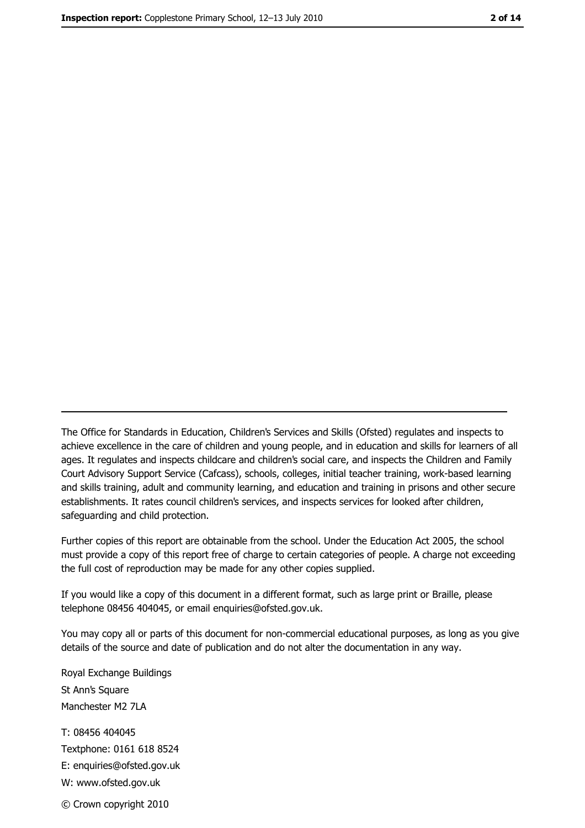The Office for Standards in Education, Children's Services and Skills (Ofsted) regulates and inspects to achieve excellence in the care of children and young people, and in education and skills for learners of all ages. It regulates and inspects childcare and children's social care, and inspects the Children and Family Court Advisory Support Service (Cafcass), schools, colleges, initial teacher training, work-based learning and skills training, adult and community learning, and education and training in prisons and other secure establishments. It rates council children's services, and inspects services for looked after children, safequarding and child protection.

Further copies of this report are obtainable from the school. Under the Education Act 2005, the school must provide a copy of this report free of charge to certain categories of people. A charge not exceeding the full cost of reproduction may be made for any other copies supplied.

If you would like a copy of this document in a different format, such as large print or Braille, please telephone 08456 404045, or email enquiries@ofsted.gov.uk.

You may copy all or parts of this document for non-commercial educational purposes, as long as you give details of the source and date of publication and do not alter the documentation in any way.

Royal Exchange Buildings St Ann's Square Manchester M2 7LA T: 08456 404045 Textphone: 0161 618 8524 E: enquiries@ofsted.gov.uk W: www.ofsted.gov.uk © Crown copyright 2010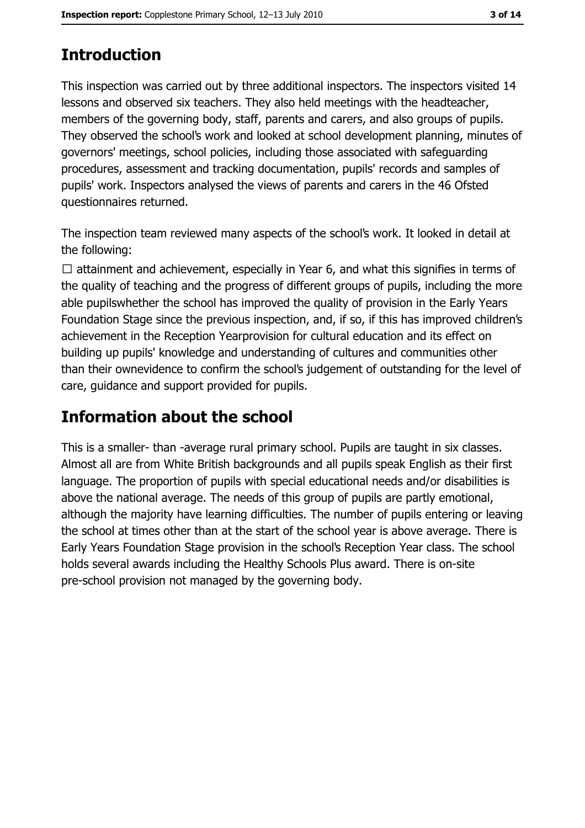# **Introduction**

This inspection was carried out by three additional inspectors. The inspectors visited 14 lessons and observed six teachers. They also held meetings with the headteacher, members of the governing body, staff, parents and carers, and also groups of pupils. They observed the school's work and looked at school development planning, minutes of governors' meetings, school policies, including those associated with safeguarding procedures, assessment and tracking documentation, pupils' records and samples of pupils' work. Inspectors analysed the views of parents and carers in the 46 Ofsted questionnaires returned.

The inspection team reviewed many aspects of the school's work. It looked in detail at the following:

 $\Box$  attainment and achievement, especially in Year 6, and what this signifies in terms of the quality of teaching and the progress of different groups of pupils, including the more able pupils whether the school has improved the quality of provision in the Early Years Foundation Stage since the previous inspection, and, if so, if this has improved children's achievement in the Reception Yearprovision for cultural education and its effect on building up pupils' knowledge and understanding of cultures and communities other than their ownevidence to confirm the school's judgement of outstanding for the level of care, quidance and support provided for pupils.

# **Information about the school**

This is a smaller-than -average rural primary school. Pupils are taught in six classes. Almost all are from White British backgrounds and all pupils speak English as their first language. The proportion of pupils with special educational needs and/or disabilities is above the national average. The needs of this group of pupils are partly emotional, although the majority have learning difficulties. The number of pupils entering or leaving the school at times other than at the start of the school year is above average. There is Early Years Foundation Stage provision in the school's Reception Year class. The school holds several awards including the Healthy Schools Plus award. There is on-site pre-school provision not managed by the governing body.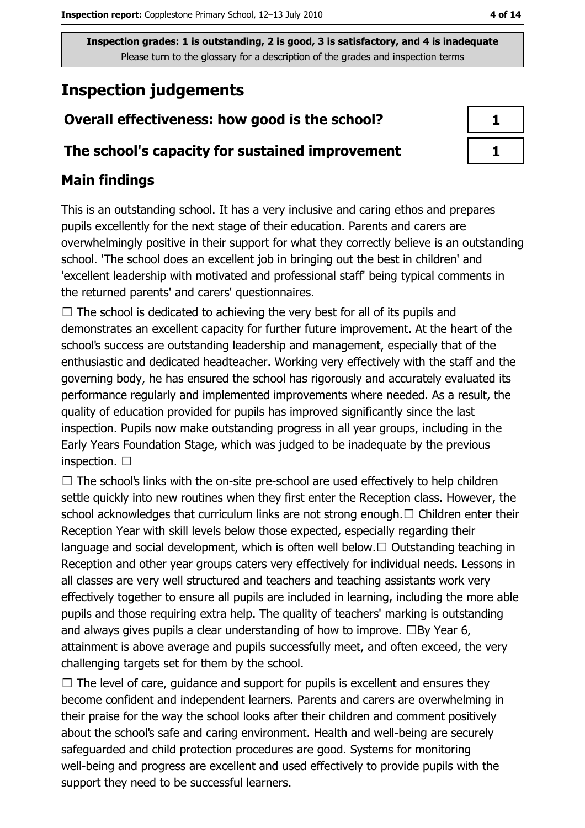# **Inspection judgements**

## Overall effectiveness: how good is the school?

#### The school's capacity for sustained improvement

## **Main findings**

This is an outstanding school. It has a very inclusive and caring ethos and prepares pupils excellently for the next stage of their education. Parents and carers are overwhelmingly positive in their support for what they correctly believe is an outstanding school. 'The school does an excellent job in bringing out the best in children' and 'excellent leadership with motivated and professional staff' being typical comments in the returned parents' and carers' questionnaires.

 $\Box$  The school is dedicated to achieving the very best for all of its pupils and demonstrates an excellent capacity for further future improvement. At the heart of the school's success are outstanding leadership and management, especially that of the enthusiastic and dedicated headteacher. Working very effectively with the staff and the governing body, he has ensured the school has rigorously and accurately evaluated its performance regularly and implemented improvements where needed. As a result, the quality of education provided for pupils has improved significantly since the last inspection. Pupils now make outstanding progress in all year groups, including in the Early Years Foundation Stage, which was judged to be inadequate by the previous inspection.  $\square$ 

 $\Box$  The school's links with the on-site pre-school are used effectively to help children settle quickly into new routines when they first enter the Reception class. However, the school acknowledges that curriculum links are not strong enough.  $\Box$  Children enter their Reception Year with skill levels below those expected, especially regarding their language and social development, which is often well below.  $\Box$  Outstanding teaching in Reception and other year groups caters very effectively for individual needs. Lessons in all classes are very well structured and teachers and teaching assistants work very effectively together to ensure all pupils are included in learning, including the more able pupils and those requiring extra help. The quality of teachers' marking is outstanding and always gives pupils a clear understanding of how to improve.  $\Box$  By Year 6, attainment is above average and pupils successfully meet, and often exceed, the very challenging targets set for them by the school.

 $\Box$  The level of care, quidance and support for pupils is excellent and ensures they become confident and independent learners. Parents and carers are overwhelming in their praise for the way the school looks after their children and comment positively about the school's safe and caring environment. Health and well-being are securely safeguarded and child protection procedures are good. Systems for monitoring well-being and progress are excellent and used effectively to provide pupils with the support they need to be successful learners.

| J. |  |
|----|--|
|    |  |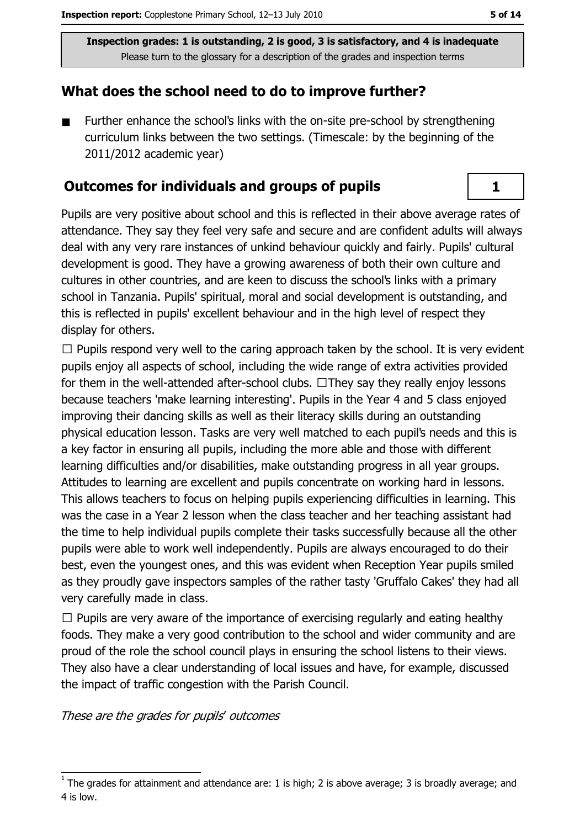#### What does the school need to do to improve further?

Further enhance the school's links with the on-site pre-school by strengthening  $\blacksquare$ curriculum links between the two settings. (Timescale: by the beginning of the 2011/2012 academic year)

#### **Outcomes for individuals and groups of pupils**

Pupils are very positive about school and this is reflected in their above average rates of attendance. They say they feel very safe and secure and are confident adults will always deal with any very rare instances of unkind behaviour quickly and fairly. Pupils' cultural development is good. They have a growing awareness of both their own culture and cultures in other countries, and are keen to discuss the school's links with a primary school in Tanzania, Pupils' spiritual, moral and social development is outstanding, and this is reflected in pupils' excellent behaviour and in the high level of respect they display for others.

 $\Box$  Pupils respond very well to the caring approach taken by the school. It is very evident pupils enjoy all aspects of school, including the wide range of extra activities provided for them in the well-attended after-school clubs.  $\Box$ They say they really enjoy lessons because teachers 'make learning interesting'. Pupils in the Year 4 and 5 class enjoyed improving their dancing skills as well as their literacy skills during an outstanding physical education lesson. Tasks are very well matched to each pupil's needs and this is a key factor in ensuring all pupils, including the more able and those with different learning difficulties and/or disabilities, make outstanding progress in all year groups. Attitudes to learning are excellent and pupils concentrate on working hard in lessons. This allows teachers to focus on helping pupils experiencing difficulties in learning. This was the case in a Year 2 lesson when the class teacher and her teaching assistant had the time to help individual pupils complete their tasks successfully because all the other pupils were able to work well independently. Pupils are always encouraged to do their best, even the voungest ones, and this was evident when Reception Year pupils smiled as they proudly gave inspectors samples of the rather tasty 'Gruffalo Cakes' they had all very carefully made in class.

 $\Box$  Pupils are very aware of the importance of exercising regularly and eating healthy foods. They make a very good contribution to the school and wider community and are proud of the role the school council plays in ensuring the school listens to their views. They also have a clear understanding of local issues and have, for example, discussed the impact of traffic congestion with the Parish Council.

These are the grades for pupils' outcomes

 $\mathbf{1}$ 

The grades for attainment and attendance are: 1 is high; 2 is above average; 3 is broadly average; and 4 is low.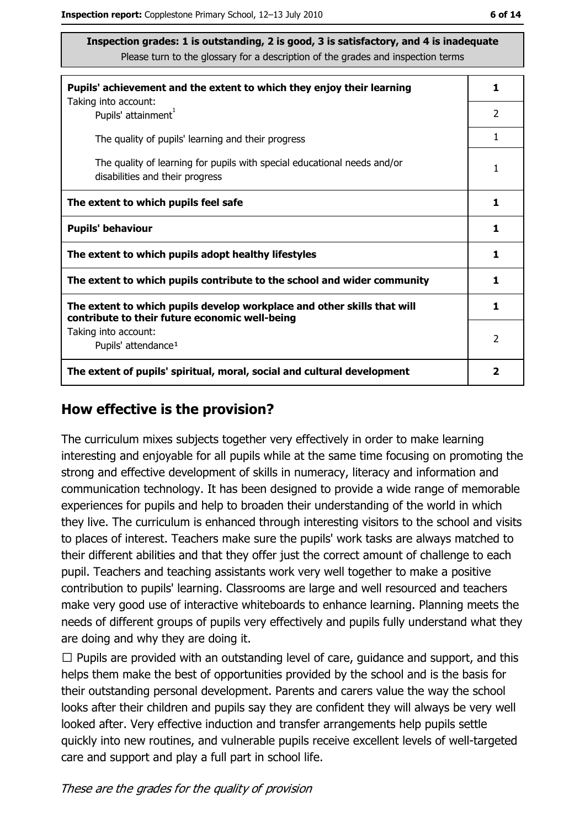| Pupils' achievement and the extent to which they enjoy their learning                                                     |               |  |  |
|---------------------------------------------------------------------------------------------------------------------------|---------------|--|--|
| Taking into account:<br>Pupils' attainment <sup>1</sup>                                                                   | 2             |  |  |
| The quality of pupils' learning and their progress                                                                        | 1             |  |  |
| The quality of learning for pupils with special educational needs and/or<br>disabilities and their progress               |               |  |  |
| The extent to which pupils feel safe                                                                                      |               |  |  |
| <b>Pupils' behaviour</b>                                                                                                  |               |  |  |
| The extent to which pupils adopt healthy lifestyles                                                                       | 1             |  |  |
| The extent to which pupils contribute to the school and wider community                                                   |               |  |  |
| The extent to which pupils develop workplace and other skills that will<br>contribute to their future economic well-being |               |  |  |
| Taking into account:<br>Pupils' attendance <sup>1</sup>                                                                   | $\mathcal{P}$ |  |  |
| The extent of pupils' spiritual, moral, social and cultural development                                                   |               |  |  |

#### How effective is the provision?

The curriculum mixes subjects together very effectively in order to make learning interesting and enjoyable for all pupils while at the same time focusing on promoting the strong and effective development of skills in numeracy, literacy and information and communication technology. It has been designed to provide a wide range of memorable experiences for pupils and help to broaden their understanding of the world in which they live. The curriculum is enhanced through interesting visitors to the school and visits to places of interest. Teachers make sure the pupils' work tasks are always matched to their different abilities and that they offer just the correct amount of challenge to each pupil. Teachers and teaching assistants work very well together to make a positive contribution to pupils' learning. Classrooms are large and well resourced and teachers make very good use of interactive whiteboards to enhance learning. Planning meets the needs of different groups of pupils very effectively and pupils fully understand what they are doing and why they are doing it.

 $\Box$  Pupils are provided with an outstanding level of care, guidance and support, and this helps them make the best of opportunities provided by the school and is the basis for their outstanding personal development. Parents and carers value the way the school looks after their children and pupils say they are confident they will always be very well looked after. Very effective induction and transfer arrangements help pupils settle quickly into new routines, and vulnerable pupils receive excellent levels of well-targeted care and support and play a full part in school life.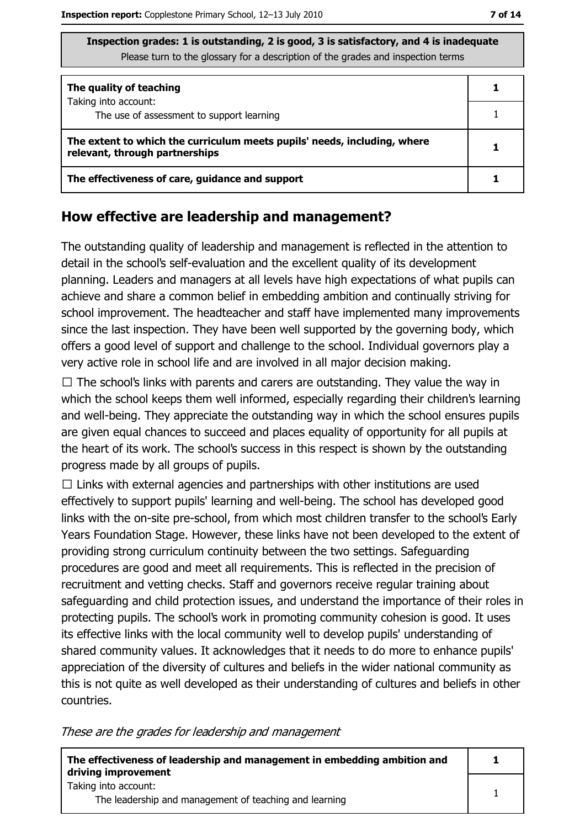| Inspection grades: 1 is outstanding, 2 is good, 3 is satisfactory, and 4 is inadequate |
|----------------------------------------------------------------------------------------|
| Please turn to the glossary for a description of the grades and inspection terms       |

| The quality of teaching                                                                                    |  |  |
|------------------------------------------------------------------------------------------------------------|--|--|
| Taking into account:<br>The use of assessment to support learning                                          |  |  |
| The extent to which the curriculum meets pupils' needs, including, where<br>relevant, through partnerships |  |  |
| The effectiveness of care, guidance and support                                                            |  |  |

#### How effective are leadership and management?

The outstanding quality of leadership and management is reflected in the attention to detail in the school's self-evaluation and the excellent quality of its development planning. Leaders and managers at all levels have high expectations of what pupils can achieve and share a common belief in embedding ambition and continually striving for school improvement. The headteacher and staff have implemented many improvements since the last inspection. They have been well supported by the governing body, which offers a good level of support and challenge to the school. Individual governors play a very active role in school life and are involved in all major decision making.

 $\Box$  The school's links with parents and carers are outstanding. They value the way in which the school keeps them well informed, especially regarding their children's learning and well-being. They appreciate the outstanding way in which the school ensures pupils are given equal chances to succeed and places equality of opportunity for all pupils at the heart of its work. The school's success in this respect is shown by the outstanding progress made by all groups of pupils.

 $\Box$  Links with external agencies and partnerships with other institutions are used effectively to support pupils' learning and well-being. The school has developed good links with the on-site pre-school, from which most children transfer to the school's Early Years Foundation Stage. However, these links have not been developed to the extent of providing strong curriculum continuity between the two settings. Safeguarding procedures are good and meet all requirements. This is reflected in the precision of recruitment and vetting checks. Staff and governors receive regular training about safeguarding and child protection issues, and understand the importance of their roles in protecting pupils. The school's work in promoting community cohesion is good. It uses its effective links with the local community well to develop pupils' understanding of shared community values. It acknowledges that it needs to do more to enhance pupils' appreciation of the diversity of cultures and beliefs in the wider national community as this is not quite as well developed as their understanding of cultures and beliefs in other countries.

These are the grades for leadership and management

| The effectiveness of leadership and management in embedding ambition and<br>driving improvement |  |
|-------------------------------------------------------------------------------------------------|--|
| Taking into account:                                                                            |  |
| The leadership and management of teaching and learning                                          |  |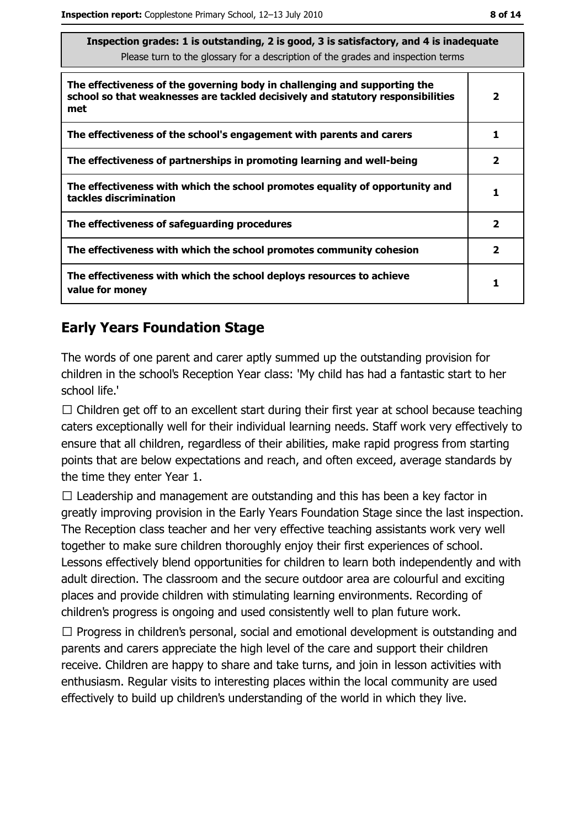| Inspection grades: 1 is outstanding, 2 is good, 3 is satisfactory, and 4 is inadequate<br>Please turn to the glossary for a description of the grades and inspection terms |              |  |  |  |
|----------------------------------------------------------------------------------------------------------------------------------------------------------------------------|--------------|--|--|--|
| The effectiveness of the governing body in challenging and supporting the<br>school so that weaknesses are tackled decisively and statutory responsibilities<br>met        |              |  |  |  |
| The effectiveness of the school's engagement with parents and carers                                                                                                       | 1            |  |  |  |
| The effectiveness of partnerships in promoting learning and well-being                                                                                                     |              |  |  |  |
| The effectiveness with which the school promotes equality of opportunity and<br>tackles discrimination                                                                     |              |  |  |  |
| The effectiveness of safeguarding procedures                                                                                                                               | $\mathbf{2}$ |  |  |  |
| The effectiveness with which the school promotes community cohesion                                                                                                        | $\mathbf{2}$ |  |  |  |
| The effectiveness with which the school deploys resources to achieve<br>value for money                                                                                    |              |  |  |  |

## **Early Years Foundation Stage**

The words of one parent and carer aptly summed up the outstanding provision for children in the school's Reception Year class: 'My child has had a fantastic start to her school life.'

 $\Box$  Children get off to an excellent start during their first year at school because teaching caters exceptionally well for their individual learning needs. Staff work very effectively to ensure that all children, regardless of their abilities, make rapid progress from starting points that are below expectations and reach, and often exceed, average standards by the time they enter Year 1.

 $\Box$  Leadership and management are outstanding and this has been a key factor in greatly improving provision in the Early Years Foundation Stage since the last inspection. The Reception class teacher and her very effective teaching assistants work very well together to make sure children thoroughly enjoy their first experiences of school. Lessons effectively blend opportunities for children to learn both independently and with adult direction. The classroom and the secure outdoor area are colourful and exciting places and provide children with stimulating learning environments. Recording of children's progress is ongoing and used consistently well to plan future work.

 $\Box$  Progress in children's personal, social and emotional development is outstanding and parents and carers appreciate the high level of the care and support their children receive. Children are happy to share and take turns, and join in lesson activities with enthusiasm. Regular visits to interesting places within the local community are used effectively to build up children's understanding of the world in which they live.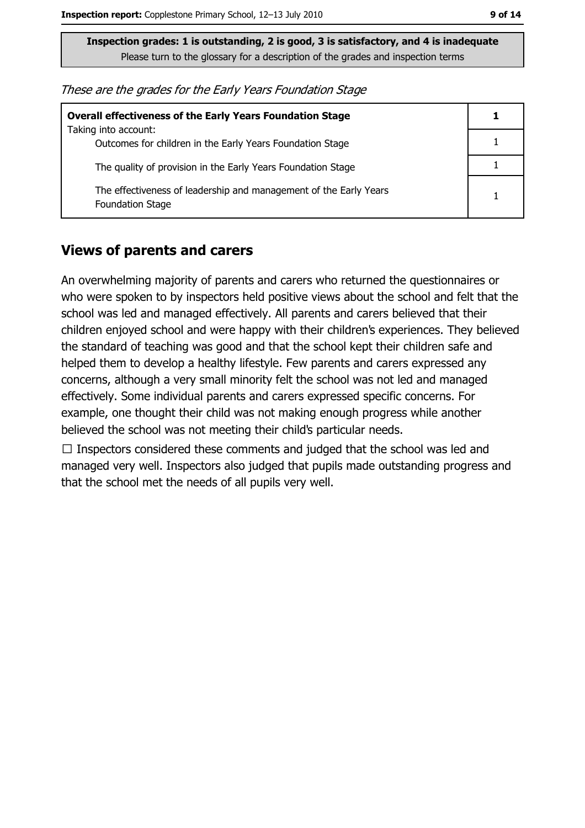| These are the grades for the Early Years Foundation Stage |  |  |
|-----------------------------------------------------------|--|--|
|-----------------------------------------------------------|--|--|

| <b>Overall effectiveness of the Early Years Foundation Stage</b>                             |  |  |
|----------------------------------------------------------------------------------------------|--|--|
| Taking into account:<br>Outcomes for children in the Early Years Foundation Stage            |  |  |
| The quality of provision in the Early Years Foundation Stage                                 |  |  |
| The effectiveness of leadership and management of the Early Years<br><b>Foundation Stage</b> |  |  |

#### **Views of parents and carers**

An overwhelming majority of parents and carers who returned the questionnaires or who were spoken to by inspectors held positive views about the school and felt that the school was led and managed effectively. All parents and carers believed that their children enjoyed school and were happy with their children's experiences. They believed the standard of teaching was good and that the school kept their children safe and helped them to develop a healthy lifestyle. Few parents and carers expressed any concerns, although a very small minority felt the school was not led and managed effectively. Some individual parents and carers expressed specific concerns. For example, one thought their child was not making enough progress while another believed the school was not meeting their child's particular needs.

 $\Box$  Inspectors considered these comments and judged that the school was led and managed very well. Inspectors also judged that pupils made outstanding progress and that the school met the needs of all pupils very well.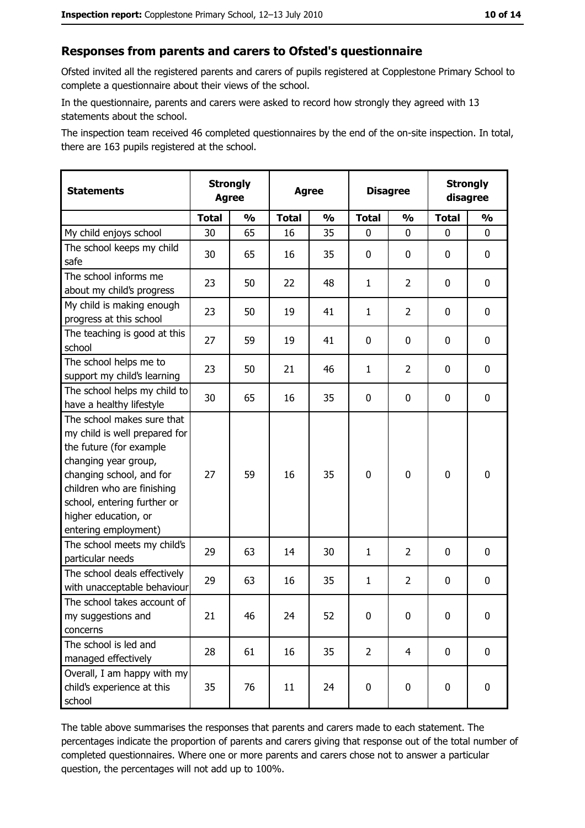#### Responses from parents and carers to Ofsted's questionnaire

Ofsted invited all the registered parents and carers of pupils registered at Copplestone Primary School to complete a questionnaire about their views of the school.

In the questionnaire, parents and carers were asked to record how strongly they agreed with 13 statements about the school.

The inspection team received 46 completed questionnaires by the end of the on-site inspection. In total, there are 163 pupils registered at the school.

| <b>Statements</b>                                                                                                                                                                                                                                       |              | <b>Strongly</b><br><b>Disagree</b><br><b>Agree</b><br><b>Agree</b> |              |               |                |                |              |               | <b>Strongly</b><br>disagree |  |
|---------------------------------------------------------------------------------------------------------------------------------------------------------------------------------------------------------------------------------------------------------|--------------|--------------------------------------------------------------------|--------------|---------------|----------------|----------------|--------------|---------------|-----------------------------|--|
|                                                                                                                                                                                                                                                         | <b>Total</b> | $\frac{1}{2}$                                                      | <b>Total</b> | $\frac{1}{2}$ | <b>Total</b>   | $\frac{0}{0}$  | <b>Total</b> | $\frac{1}{2}$ |                             |  |
| My child enjoys school                                                                                                                                                                                                                                  | 30           | 65                                                                 | 16           | 35            | 0              | 0              | $\Omega$     | 0             |                             |  |
| The school keeps my child<br>safe                                                                                                                                                                                                                       | 30           | 65                                                                 | 16           | 35            | 0              | 0              | 0            | 0             |                             |  |
| The school informs me<br>about my child's progress                                                                                                                                                                                                      | 23           | 50                                                                 | 22           | 48            | $\mathbf{1}$   | $\overline{2}$ | 0            | $\mathbf 0$   |                             |  |
| My child is making enough<br>progress at this school                                                                                                                                                                                                    | 23           | 50                                                                 | 19           | 41            | $\mathbf{1}$   | 2              | 0            | 0             |                             |  |
| The teaching is good at this<br>school                                                                                                                                                                                                                  | 27           | 59                                                                 | 19           | 41            | 0              | 0              | 0            | 0             |                             |  |
| The school helps me to<br>support my child's learning                                                                                                                                                                                                   | 23           | 50                                                                 | 21           | 46            | $\mathbf{1}$   | $\overline{2}$ | 0            | 0             |                             |  |
| The school helps my child to<br>have a healthy lifestyle                                                                                                                                                                                                | 30           | 65                                                                 | 16           | 35            | $\mathbf 0$    | 0              | 0            | 0             |                             |  |
| The school makes sure that<br>my child is well prepared for<br>the future (for example<br>changing year group,<br>changing school, and for<br>children who are finishing<br>school, entering further or<br>higher education, or<br>entering employment) | 27           | 59                                                                 | 16           | 35            | $\overline{0}$ | 0              | $\mathbf 0$  | 0             |                             |  |
| The school meets my child's<br>particular needs                                                                                                                                                                                                         | 29           | 63                                                                 | 14           | 30            | $\mathbf{1}$   | 2              | 0            | 0             |                             |  |
| The school deals effectively<br>with unacceptable behaviour                                                                                                                                                                                             | 29           | 63                                                                 | 16           | 35            | $\mathbf{1}$   | $\overline{2}$ | 0            | $\mathbf 0$   |                             |  |
| The school takes account of<br>my suggestions and<br>concerns                                                                                                                                                                                           | 21           | 46                                                                 | 24           | 52            | $\mathbf 0$    | 0              | 0            | 0             |                             |  |
| The school is led and<br>managed effectively                                                                                                                                                                                                            | 28           | 61                                                                 | 16           | 35            | $\overline{2}$ | 4              | $\bf{0}$     | $\mathbf 0$   |                             |  |
| Overall, I am happy with my<br>child's experience at this<br>school                                                                                                                                                                                     | 35           | 76                                                                 | 11           | 24            | $\mathbf 0$    | 0              | $\mathbf 0$  | $\mathbf 0$   |                             |  |

The table above summarises the responses that parents and carers made to each statement. The percentages indicate the proportion of parents and carers giving that response out of the total number of completed questionnaires. Where one or more parents and carers chose not to answer a particular question, the percentages will not add up to 100%.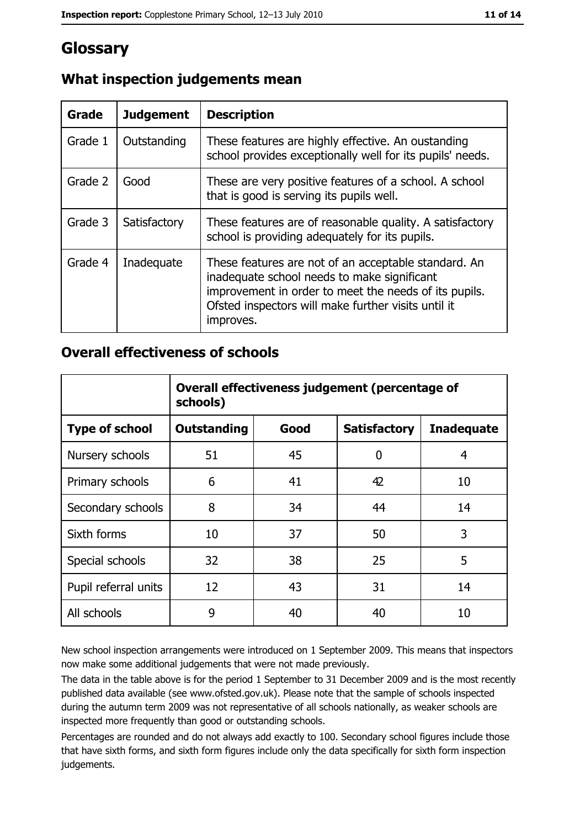## Glossary

| Grade   | <b>Judgement</b> | <b>Description</b>                                                                                                                                                                                                               |
|---------|------------------|----------------------------------------------------------------------------------------------------------------------------------------------------------------------------------------------------------------------------------|
| Grade 1 | Outstanding      | These features are highly effective. An oustanding<br>school provides exceptionally well for its pupils' needs.                                                                                                                  |
| Grade 2 | Good             | These are very positive features of a school. A school<br>that is good is serving its pupils well.                                                                                                                               |
| Grade 3 | Satisfactory     | These features are of reasonable quality. A satisfactory<br>school is providing adequately for its pupils.                                                                                                                       |
| Grade 4 | Inadequate       | These features are not of an acceptable standard. An<br>inadequate school needs to make significant<br>improvement in order to meet the needs of its pupils.<br>Ofsted inspectors will make further visits until it<br>improves. |

## What inspection judgements mean

### **Overall effectiveness of schools**

|                       | Overall effectiveness judgement (percentage of<br>schools) |      |                     |                   |  |  |
|-----------------------|------------------------------------------------------------|------|---------------------|-------------------|--|--|
| <b>Type of school</b> | <b>Outstanding</b>                                         | Good | <b>Satisfactory</b> | <b>Inadequate</b> |  |  |
| Nursery schools       | 51                                                         | 45   | 0                   | 4                 |  |  |
| Primary schools       | 6                                                          | 41   | 42                  | 10                |  |  |
| Secondary schools     | 8                                                          | 34   | 44                  | 14                |  |  |
| Sixth forms           | 10                                                         | 37   | 50                  | 3                 |  |  |
| Special schools       | 32                                                         | 38   | 25                  | 5                 |  |  |
| Pupil referral units  | 12                                                         | 43   | 31                  | 14                |  |  |
| All schools           | 9                                                          | 40   | 40                  | 10                |  |  |

New school inspection arrangements were introduced on 1 September 2009. This means that inspectors now make some additional judgements that were not made previously.

The data in the table above is for the period 1 September to 31 December 2009 and is the most recently published data available (see www.ofsted.gov.uk). Please note that the sample of schools inspected during the autumn term 2009 was not representative of all schools nationally, as weaker schools are inspected more frequently than good or outstanding schools.

Percentages are rounded and do not always add exactly to 100. Secondary school figures include those that have sixth forms, and sixth form figures include only the data specifically for sixth form inspection judgements.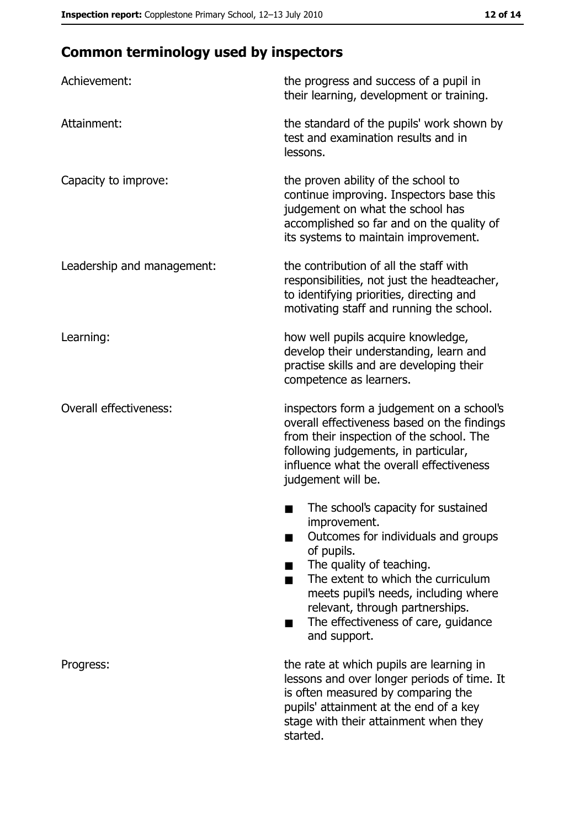# **Common terminology used by inspectors**

| Achievement:                  | the progress and success of a pupil in<br>their learning, development or training.                                                                                                                                                                                                                           |  |  |
|-------------------------------|--------------------------------------------------------------------------------------------------------------------------------------------------------------------------------------------------------------------------------------------------------------------------------------------------------------|--|--|
| Attainment:                   | the standard of the pupils' work shown by<br>test and examination results and in<br>lessons.                                                                                                                                                                                                                 |  |  |
| Capacity to improve:          | the proven ability of the school to<br>continue improving. Inspectors base this<br>judgement on what the school has<br>accomplished so far and on the quality of<br>its systems to maintain improvement.                                                                                                     |  |  |
| Leadership and management:    | the contribution of all the staff with<br>responsibilities, not just the headteacher,<br>to identifying priorities, directing and<br>motivating staff and running the school.                                                                                                                                |  |  |
| Learning:                     | how well pupils acquire knowledge,<br>develop their understanding, learn and<br>practise skills and are developing their<br>competence as learners.                                                                                                                                                          |  |  |
| <b>Overall effectiveness:</b> | inspectors form a judgement on a school's<br>overall effectiveness based on the findings<br>from their inspection of the school. The<br>following judgements, in particular,<br>influence what the overall effectiveness<br>judgement will be.                                                               |  |  |
|                               | The school's capacity for sustained<br>improvement.<br>Outcomes for individuals and groups<br>of pupils.<br>The quality of teaching.<br>The extent to which the curriculum<br>meets pupil's needs, including where<br>relevant, through partnerships.<br>The effectiveness of care, guidance<br>and support. |  |  |
| Progress:                     | the rate at which pupils are learning in<br>lessons and over longer periods of time. It<br>is often measured by comparing the<br>pupils' attainment at the end of a key<br>stage with their attainment when they<br>started.                                                                                 |  |  |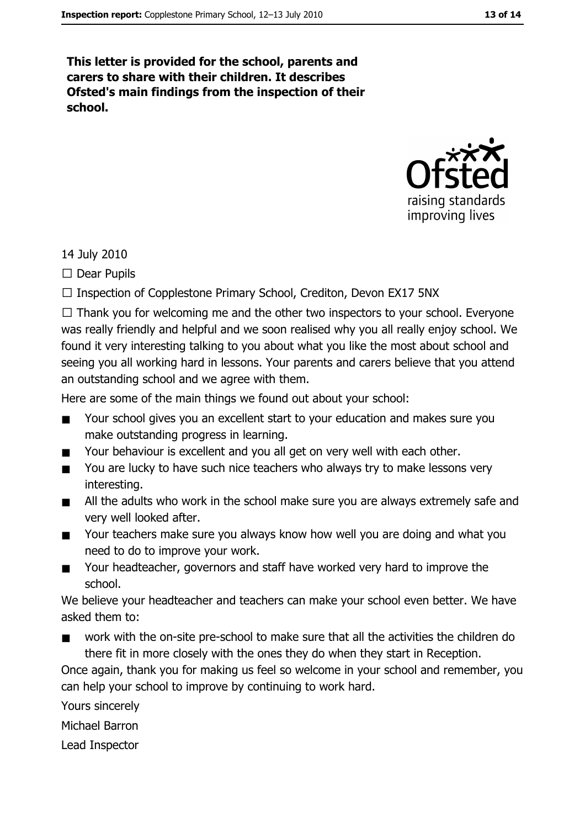This letter is provided for the school, parents and carers to share with their children. It describes Ofsted's main findings from the inspection of their school.



#### 14 July 2010

 $\Box$  Dear Pupils

 $\Box$  Inspection of Copplestone Primary School, Crediton, Devon EX17 5NX

 $\Box$  Thank you for welcoming me and the other two inspectors to your school. Everyone was really friendly and helpful and we soon realised why you all really enjoy school. We found it very interesting talking to you about what you like the most about school and seeing you all working hard in lessons. Your parents and carers believe that you attend an outstanding school and we agree with them.

Here are some of the main things we found out about your school:

- Your school gives you an excellent start to your education and makes sure you  $\blacksquare$ make outstanding progress in learning.
- Your behaviour is excellent and you all get on very well with each other.  $\blacksquare$
- You are lucky to have such nice teachers who always try to make lessons very  $\blacksquare$ interesting.
- All the adults who work in the school make sure you are always extremely safe and  $\blacksquare$ very well looked after.
- Your teachers make sure you always know how well you are doing and what you  $\blacksquare$ need to do to improve your work.
- Your headteacher, governors and staff have worked very hard to improve the  $\blacksquare$ school.

We believe your headteacher and teachers can make your school even better. We have asked them to:

work with the on-site pre-school to make sure that all the activities the children do  $\blacksquare$ there fit in more closely with the ones they do when they start in Reception.

Once again, thank you for making us feel so welcome in your school and remember, you can help your school to improve by continuing to work hard.

Yours sincerely

Michael Barron

Lead Inspector